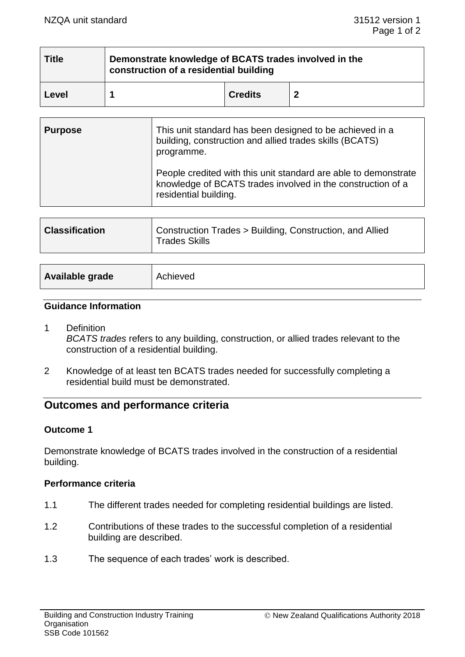| <b>Title</b> | Demonstrate knowledge of BCATS trades involved in the<br>construction of a residential building |                |   |  |  |
|--------------|-------------------------------------------------------------------------------------------------|----------------|---|--|--|
| Level        |                                                                                                 | <b>Credits</b> | Ð |  |  |

| <b>Purpose</b> | This unit standard has been designed to be achieved in a<br>building, construction and allied trades skills (BCATS)<br>programme.                       |  |
|----------------|---------------------------------------------------------------------------------------------------------------------------------------------------------|--|
|                | People credited with this unit standard are able to demonstrate<br>knowledge of BCATS trades involved in the construction of a<br>residential building. |  |
|                |                                                                                                                                                         |  |
|                |                                                                                                                                                         |  |

| Construction Trades > Building, Construction, and Allied<br><b>Classification</b><br><b>Trades Skills</b> |  |
|-----------------------------------------------------------------------------------------------------------|--|
|-----------------------------------------------------------------------------------------------------------|--|

| Available grade<br>Achieved |
|-----------------------------|
|-----------------------------|

#### **Guidance Information**

- 1 Definition *BCATS trades* refers to any building, construction, or allied trades relevant to the construction of a residential building.
- 2 Knowledge of at least ten BCATS trades needed for successfully completing a residential build must be demonstrated.

# **Outcomes and performance criteria**

## **Outcome 1**

Demonstrate knowledge of BCATS trades involved in the construction of a residential building.

## **Performance criteria**

- 1.1 The different trades needed for completing residential buildings are listed.
- 1.2 Contributions of these trades to the successful completion of a residential building are described.
- 1.3 The sequence of each trades' work is described.